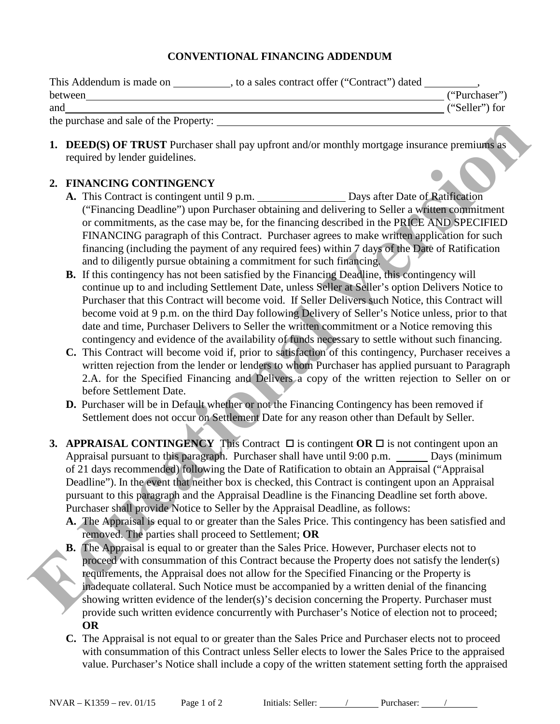## **CONVENTIONAL FINANCING ADDENDUM**

| This Addendum is made on               | , to a sales contract offer ("Contract") dated |                |
|----------------------------------------|------------------------------------------------|----------------|
| between                                |                                                | ("Purchaser")  |
| and                                    |                                                | ("Seller") for |
| the purchase and sale of the Property: |                                                |                |

**1. DEED(S) OF TRUST** Purchaser shall pay upfront and/or monthly mortgage insurance premiums as required by lender guidelines.

## **2. FINANCING CONTINGENCY**

- A. This Contract is contingent until 9 p.m. Days after Date of Ratification ("Financing Deadline") upon Purchaser obtaining and delivering to Seller a written commitment or commitments, as the case may be, for the financing described in the PRICE AND SPECIFIED FINANCING paragraph of this Contract. Purchaser agrees to make written application for such financing (including the payment of any required fees) within 7 days of the Date of Ratification and to diligently pursue obtaining a commitment for such financing.
- **B.** If this contingency has not been satisfied by the Financing Deadline, this contingency will continue up to and including Settlement Date, unless Seller at Seller's option Delivers Notice to Purchaser that this Contract will become void. If Seller Delivers such Notice, this Contract will become void at 9 p.m. on the third Day following Delivery of Seller's Notice unless, prior to that date and time, Purchaser Delivers to Seller the written commitment or a Notice removing this contingency and evidence of the availability of funds necessary to settle without such financing.
- **C.** This Contract will become void if, prior to satisfaction of this contingency, Purchaser receives a written rejection from the lender or lenders to whom Purchaser has applied pursuant to Paragraph 2.A. for the Specified Financing and Delivers a copy of the written rejection to Seller on or before Settlement Date.
- **D.** Purchaser will be in Default whether or not the Financing Contingency has been removed if Settlement does not occur on Settlement Date for any reason other than Default by Seller.
- **3. APPRAISAL CONTINGENCY** This Contract  $\Box$  is contingent **OR**  $\Box$  is not contingent upon an Appraisal pursuant to this paragraph. Purchaser shall have until 9:00 p.m. \_\_\_\_\_\_ Days (minimum of 21 days recommended) following the Date of Ratification to obtain an Appraisal ("Appraisal Deadline"). In the event that neither box is checked, this Contract is contingent upon an Appraisal pursuant to this paragraph and the Appraisal Deadline is the Financing Deadline set forth above. Purchaser shall provide Notice to Seller by the Appraisal Deadline, as follows: **EDEDES ON THE CONTROLLER CONSULTER CONSULTER CONSULTER CONSULTER CONSULTER CONSULTER CONSULTER CONSULTER CONSULTER CONSULTER CONSULTER CONSULTER CONSULTER CONSULTER CONSULTER CONSULTER CONSULTER CONSULTER CONSULTER CONSUL** 
	- **A.** The Appraisal is equal to or greater than the Sales Price. This contingency has been satisfied and removed. The parties shall proceed to Settlement; **OR**
	- **B.** The Appraisal is equal to or greater than the Sales Price. However, Purchaser elects not to proceed with consummation of this Contract because the Property does not satisfy the lender(s) requirements, the Appraisal does not allow for the Specified Financing or the Property is inadequate collateral. Such Notice must be accompanied by a written denial of the financing showing written evidence of the lender(s)'s decision concerning the Property. Purchaser must provide such written evidence concurrently with Purchaser's Notice of election not to proceed; **OR**
	- **C.** The Appraisal is not equal to or greater than the Sales Price and Purchaser elects not to proceed with consummation of this Contract unless Seller elects to lower the Sales Price to the appraised value. Purchaser's Notice shall include a copy of the written statement setting forth the appraised